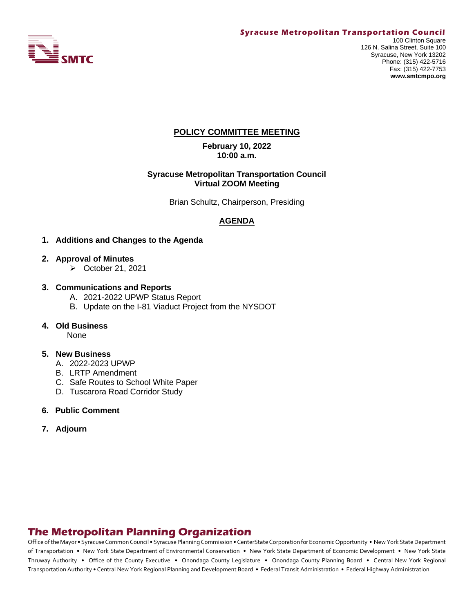

### **POLICY COMMITTEE MEETING**

**February 10, 2022 10:00 a.m.**

#### **Syracuse Metropolitan Transportation Council Virtual ZOOM Meeting**

Brian Schultz, Chairperson, Presiding

## **AGENDA**

- **1. Additions and Changes to the Agenda**
- **2. Approval of Minutes**
	- ➢ October 21, 2021
- **3. Communications and Reports** 
	- A. 2021-2022 UPWP Status Report
	- B. Update on the I-81 Viaduct Project from the NYSDOT
- **4. Old Business**

None

#### **5. New Business**

- A. 2022-2023 UPWP
- B. LRTP Amendment
- C. Safe Routes to School White Paper
- D. Tuscarora Road Corridor Study
- **6. Public Comment**
- **7. Adjourn**

# **The Metropolitan Planning Organization**

Office of the Mayor • Syracuse Common Council • Syracuse Planning Commission • CenterState Corporation for Economic Opportunity • New York State Department of Transportation • New York State Department of Environmental Conservation • New York State Department of Economic Development • New York State Thruway Authority • Office of the County Executive • Onondaga County Legislature • Onondaga County Planning Board • Central New York Regional Transportation Authority • Central New York Regional Planning and Development Board • Federal Transit Administration • Federal Highway Administration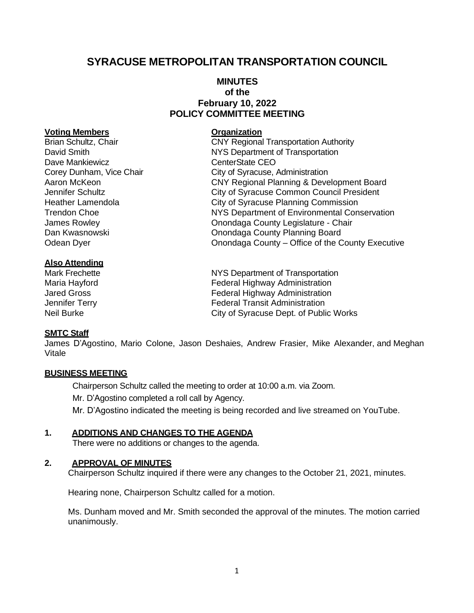# **SYRACUSE METROPOLITAN TRANSPORTATION COUNCIL**

## **MINUTES of the February 10, 2022 POLICY COMMITTEE MEETING**

#### **Voting Members Organization**

Dave Mankiewicz **CEO** CenterState CEO

### **Also Attending**

### **SMTC Staff**

James D'Agostino, Mario Colone, Jason Deshaies, Andrew Frasier, Mike Alexander, and Meghan Vitale

### **BUSINESS MEETING**

Chairperson Schultz called the meeting to order at 10:00 a.m. via Zoom.

Mr. D'Agostino completed a roll call by Agency.

Mr. D'Agostino indicated the meeting is being recorded and live streamed on YouTube.

### **1. ADDITIONS AND CHANGES TO THE AGENDA**

There were no additions or changes to the agenda.

### **2. APPROVAL OF MINUTES**

Chairperson Schultz inquired if there were any changes to the October 21, 2021, minutes.

Hearing none, Chairperson Schultz called for a motion.

Ms. Dunham moved and Mr. Smith seconded the approval of the minutes. The motion carried unanimously.

Brian Schultz, Chair **CRY Regional Transportation Authority** David Smith **NYS** Department of Transportation Corey Dunham, Vice Chair City of Syracuse, Administration Aaron McKeon CNY Regional Planning & Development Board Jennifer Schultz City of Syracuse Common Council President Heather Lamendola City of Syracuse Planning Commission Trendon Choe NYS Department of Environmental Conservation James Rowley Onondaga County Legislature - Chair Dan Kwasnowski Onondaga County Planning Board Odean Dyer **Onondaga County – Office of the County Executive** 

Mark Frechette **NYS Department of Transportation** Maria Hayford **Federal Highway Administration** Jared Gross Federal Highway Administration Jennifer Terry Federal Transit Administration Neil Burke City of Syracuse Dept. of Public Works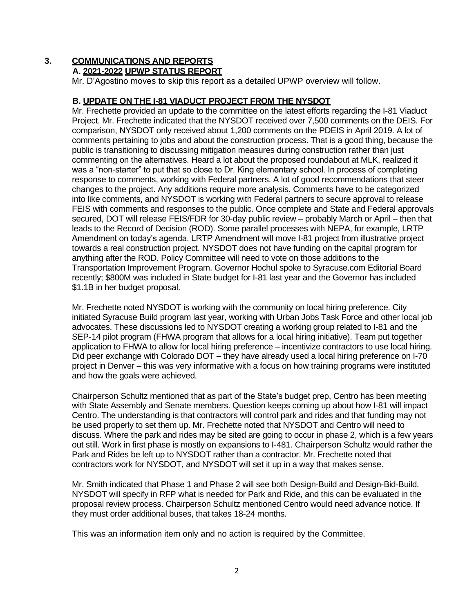# **3. COMMUNICATIONS AND REPORTS**

## **A. 2021-2022 UPWP STATUS REPORT**

Mr. D'Agostino moves to skip this report as a detailed UPWP overview will follow.

### **B. UPDATE ON THE I-81 VIADUCT PROJECT FROM THE NYSDOT**

Mr. Frechette provided an update to the committee on the latest efforts regarding the I-81 Viaduct Project. Mr. Frechette indicated that the NYSDOT received over 7,500 comments on the DEIS. For comparison, NYSDOT only received about 1,200 comments on the PDEIS in April 2019. A lot of comments pertaining to jobs and about the construction process. That is a good thing, because the public is transitioning to discussing mitigation measures during construction rather than just commenting on the alternatives. Heard a lot about the proposed roundabout at MLK, realized it was a "non-starter" to put that so close to Dr. King elementary school. In process of completing response to comments, working with Federal partners. A lot of good recommendations that steer changes to the project. Any additions require more analysis. Comments have to be categorized into like comments, and NYSDOT is working with Federal partners to secure approval to release FEIS with comments and responses to the public. Once complete and State and Federal approvals secured, DOT will release FEIS/FDR for 30-day public review – probably March or April – then that leads to the Record of Decision (ROD). Some parallel processes with NEPA, for example, LRTP Amendment on today's agenda. LRTP Amendment will move I-81 project from illustrative project towards a real construction project. NYSDOT does not have funding on the capital program for anything after the ROD. Policy Committee will need to vote on those additions to the Transportation Improvement Program. Governor Hochul spoke to Syracuse.com Editorial Board recently; \$800M was included in State budget for I-81 last year and the Governor has included \$1.1B in her budget proposal.

Mr. Frechette noted NYSDOT is working with the community on local hiring preference. City initiated Syracuse Build program last year, working with Urban Jobs Task Force and other local job advocates. These discussions led to NYSDOT creating a working group related to I-81 and the SEP-14 pilot program (FHWA program that allows for a local hiring initiative). Team put together application to FHWA to allow for local hiring preference – incentivize contractors to use local hiring. Did peer exchange with Colorado DOT – they have already used a local hiring preference on I-70 project in Denver – this was very informative with a focus on how training programs were instituted and how the goals were achieved.

Chairperson Schultz mentioned that as part of the State's budget prep, Centro has been meeting with State Assembly and Senate members. Question keeps coming up about how I-81 will impact Centro. The understanding is that contractors will control park and rides and that funding may not be used properly to set them up. Mr. Frechette noted that NYSDOT and Centro will need to discuss. Where the park and rides may be sited are going to occur in phase 2, which is a few years out still. Work in first phase is mostly on expansions to I-481. Chairperson Schultz would rather the Park and Rides be left up to NYSDOT rather than a contractor. Mr. Frechette noted that contractors work for NYSDOT, and NYSDOT will set it up in a way that makes sense.

Mr. Smith indicated that Phase 1 and Phase 2 will see both Design-Build and Design-Bid-Build. NYSDOT will specify in RFP what is needed for Park and Ride, and this can be evaluated in the proposal review process. Chairperson Schultz mentioned Centro would need advance notice. If they must order additional buses, that takes 18-24 months.

This was an information item only and no action is required by the Committee.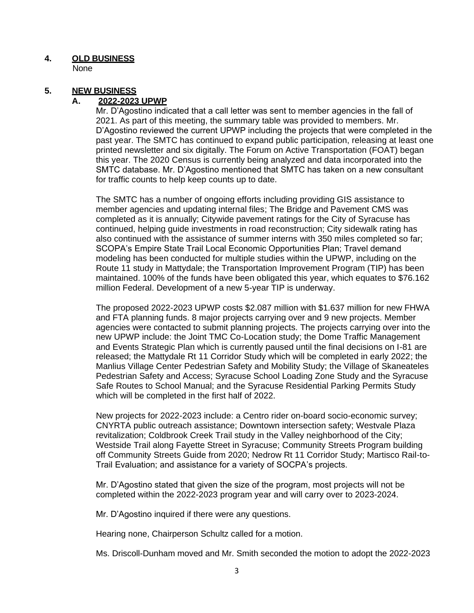### **4. OLD BUSINESS**

None

## **5. NEW BUSINESS**

### **A. 2022-2023 UPWP**

Mr. D'Agostino indicated that a call letter was sent to member agencies in the fall of 2021. As part of this meeting, the summary table was provided to members. Mr. D'Agostino reviewed the current UPWP including the projects that were completed in the past year. The SMTC has continued to expand public participation, releasing at least one printed newsletter and six digitally. The Forum on Active Transportation (FOAT) began this year. The 2020 Census is currently being analyzed and data incorporated into the SMTC database. Mr. D'Agostino mentioned that SMTC has taken on a new consultant for traffic counts to help keep counts up to date.

The SMTC has a number of ongoing efforts including providing GIS assistance to member agencies and updating internal files; The Bridge and Pavement CMS was completed as it is annually; Citywide pavement ratings for the City of Syracuse has continued, helping guide investments in road reconstruction; City sidewalk rating has also continued with the assistance of summer interns with 350 miles completed so far; SCOPA's Empire State Trail Local Economic Opportunities Plan; Travel demand modeling has been conducted for multiple studies within the UPWP, including on the Route 11 study in Mattydale; the Transportation Improvement Program (TIP) has been maintained. 100% of the funds have been obligated this year, which equates to \$76.162 million Federal. Development of a new 5-year TIP is underway.

The proposed 2022-2023 UPWP costs \$2.087 million with \$1.637 million for new FHWA and FTA planning funds. 8 major projects carrying over and 9 new projects. Member agencies were contacted to submit planning projects. The projects carrying over into the new UPWP include: the Joint TMC Co-Location study; the Dome Traffic Management and Events Strategic Plan which is currently paused until the final decisions on I-81 are released; the Mattydale Rt 11 Corridor Study which will be completed in early 2022; the Manlius Village Center Pedestrian Safety and Mobility Study; the Village of Skaneateles Pedestrian Safety and Access; Syracuse School Loading Zone Study and the Syracuse Safe Routes to School Manual; and the Syracuse Residential Parking Permits Study which will be completed in the first half of 2022.

New projects for 2022-2023 include: a Centro rider on-board socio-economic survey; CNYRTA public outreach assistance; Downtown intersection safety; Westvale Plaza revitalization; Coldbrook Creek Trail study in the Valley neighborhood of the City; Westside Trail along Fayette Street in Syracuse; Community Streets Program building off Community Streets Guide from 2020; Nedrow Rt 11 Corridor Study; Martisco Rail-to-Trail Evaluation; and assistance for a variety of SOCPA's projects.

Mr. D'Agostino stated that given the size of the program, most projects will not be completed within the 2022-2023 program year and will carry over to 2023-2024.

Mr. D'Agostino inquired if there were any questions.

Hearing none, Chairperson Schultz called for a motion.

Ms. Driscoll-Dunham moved and Mr. Smith seconded the motion to adopt the 2022-2023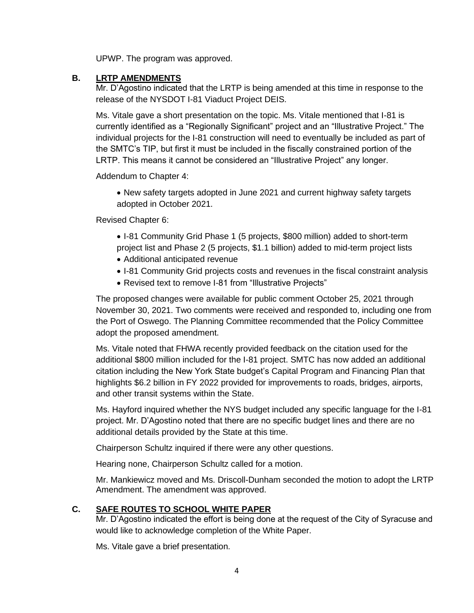UPWP. The program was approved.

### **B. LRTP AMENDMENTS**

Mr. D'Agostino indicated that the LRTP is being amended at this time in response to the release of the NYSDOT I-81 Viaduct Project DEIS.

Ms. Vitale gave a short presentation on the topic. Ms. Vitale mentioned that I-81 is currently identified as a "Regionally Significant" project and an "Illustrative Project." The individual projects for the I-81 construction will need to eventually be included as part of the SMTC's TIP, but first it must be included in the fiscally constrained portion of the LRTP. This means it cannot be considered an "Illustrative Project" any longer.

Addendum to Chapter 4:

• New safety targets adopted in June 2021 and current highway safety targets adopted in October 2021.

Revised Chapter 6:

- I-81 Community Grid Phase 1 (5 projects, \$800 million) added to short-term project list and Phase 2 (5 projects, \$1.1 billion) added to mid-term project lists
- Additional anticipated revenue
- I-81 Community Grid projects costs and revenues in the fiscal constraint analysis
- Revised text to remove I-81 from "Illustrative Projects"

The proposed changes were available for public comment October 25, 2021 through November 30, 2021. Two comments were received and responded to, including one from the Port of Oswego. The Planning Committee recommended that the Policy Committee adopt the proposed amendment.

Ms. Vitale noted that FHWA recently provided feedback on the citation used for the additional \$800 million included for the I-81 project. SMTC has now added an additional citation including the New York State budget's Capital Program and Financing Plan that highlights \$6.2 billion in FY 2022 provided for improvements to roads, bridges, airports, and other transit systems within the State.

Ms. Hayford inquired whether the NYS budget included any specific language for the I-81 project. Mr. D'Agostino noted that there are no specific budget lines and there are no additional details provided by the State at this time.

Chairperson Schultz inquired if there were any other questions.

Hearing none, Chairperson Schultz called for a motion.

Mr. Mankiewicz moved and Ms. Driscoll-Dunham seconded the motion to adopt the LRTP Amendment. The amendment was approved.

### **C. SAFE ROUTES TO SCHOOL WHITE PAPER**

Mr. D'Agostino indicated the effort is being done at the request of the City of Syracuse and would like to acknowledge completion of the White Paper.

Ms. Vitale gave a brief presentation.